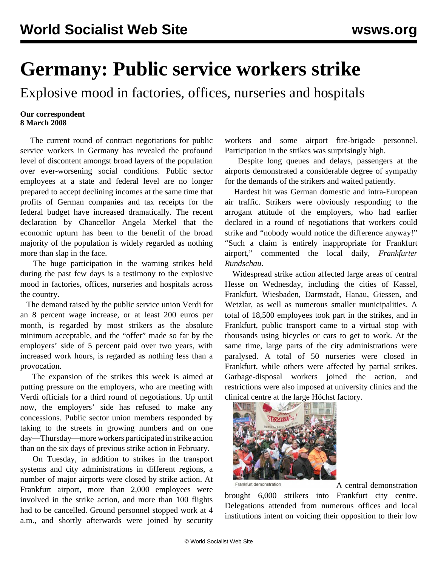## **Germany: Public service workers strike**

Explosive mood in factories, offices, nurseries and hospitals

## **Our correspondent 8 March 2008**

 The current round of contract negotiations for public service workers in Germany has revealed the profound level of discontent amongst broad layers of the population over ever-worsening social conditions. Public sector employees at a state and federal level are no longer prepared to accept declining incomes at the same time that profits of German companies and tax receipts for the federal budget have increased dramatically. The recent declaration by Chancellor Angela Merkel that the economic upturn has been to the benefit of the broad majority of the population is widely regarded as nothing more than slap in the face.

 The huge participation in the warning strikes held during the past few days is a testimony to the explosive mood in factories, offices, nurseries and hospitals across the country.

 The demand raised by the public service union Verdi for an 8 percent wage increase, or at least 200 euros per month, is regarded by most strikers as the absolute minimum acceptable, and the "offer" made so far by the employers' side of 5 percent paid over two years, with increased work hours, is regarded as nothing less than a provocation.

 The expansion of the strikes this week is aimed at putting pressure on the employers, who are meeting with Verdi officials for a third round of negotiations. Up until now, the employers' side has refused to make any concessions. Public sector union members responded by taking to the streets in growing numbers and on one day—Thursday—more workers participated in strike action than on the six days of previous strike action in February.

 On Tuesday, in addition to strikes in the transport systems and city administrations in different regions, a number of major airports were closed by strike action. At Frankfurt airport, more than 2,000 employees were involved in the strike action, and more than 100 flights had to be cancelled. Ground personnel stopped work at 4 a.m., and shortly afterwards were joined by security

workers and some airport fire-brigade personnel. Participation in the strikes was surprisingly high.

 Despite long queues and delays, passengers at the airports demonstrated a considerable degree of sympathy for the demands of the strikers and waited patiently.

 Hardest hit was German domestic and intra-European air traffic. Strikers were obviously responding to the arrogant attitude of the employers, who had earlier declared in a round of negotiations that workers could strike and "nobody would notice the difference anyway!" "Such a claim is entirely inappropriate for Frankfurt airport," commented the local daily, *Frankfurter Rundschau*.

 Widespread strike action affected large areas of central Hesse on Wednesday, including the cities of Kassel, Frankfurt, Wiesbaden, Darmstadt, Hanau, Giessen, and Wetzlar, as well as numerous smaller municipalities. A total of 18,500 employees took part in the strikes, and in Frankfurt, public transport came to a virtual stop with thousands using bicycles or cars to get to work. At the same time, large parts of the city administrations were paralysed. A total of 50 nurseries were closed in Frankfurt, while others were affected by partial strikes. Garbage-disposal workers joined the action, and restrictions were also imposed at university clinics and the clinical centre at the large Höchst factory.



Frankfurt demonstration **A** central demonstration

brought 6,000 strikers into Frankfurt city centre. Delegations attended from numerous offices and local institutions intent on voicing their opposition to their low